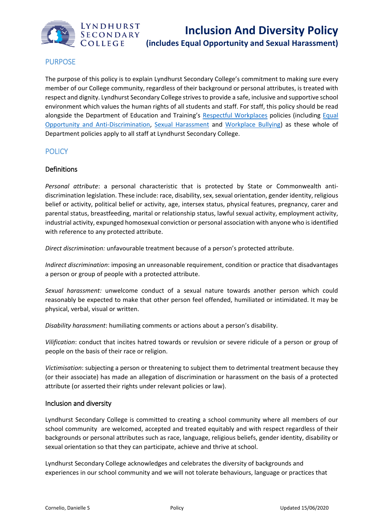

# PURPOSE

The purpose of this policy is to explain Lyndhurst Secondary College's commitment to making sure every member of our College community, regardless of their background or personal attributes, is treated with respect and dignity. Lyndhurst Secondary College strives to provide a safe, inclusive and supportive school environment which values the human rights of all students and staff. For staff, this policy should be read alongside the Department of Education and Training's [Respectful Workplaces](https://www.education.vic.gov.au/hrweb/divequity/Pages/respect.aspx) policies (including [Equal](https://www.education.vic.gov.au/hrweb/divequity/Pages/default_eeo.aspx)  [Opportunity and Anti-Discrimination,](https://www.education.vic.gov.au/hrweb/divequity/Pages/default_eeo.aspx) [Sexual Harassment](https://www.education.vic.gov.au/hrweb/divequity/Pages/SexualHarassment.aspx) and [Workplace Bullying\)](https://www.education.vic.gov.au/hrweb/safetyhw/Pages/workplacebullying.aspx) as these whole of Department policies apply to all staff at Lyndhurst Secondary College.

# **POLICY**

## **Definitions**

*Personal attribute*: a personal characteristic that is protected by State or Commonwealth antidiscrimination legislation. These include: race, disability, sex, sexual orientation, gender identity, religious belief or activity, political belief or activity, age, intersex status, physical features, pregnancy, carer and parental status, breastfeeding, marital or relationship status, lawful sexual activity, employment activity, industrial activity, expunged homosexual conviction or personal association with anyone who is identified with reference to any protected attribute.

*Direct discrimination:* unfavourable treatment because of a person's protected attribute.

*Indirect discrimination*: imposing an unreasonable requirement, condition or practice that disadvantages a person or group of people with a protected attribute.

*Sexual harassment:* unwelcome conduct of a sexual nature towards another person which could reasonably be expected to make that other person feel offended, humiliated or intimidated. It may be physical, verbal, visual or written.

*Disability harassment*: humiliating comments or actions about a person's disability.

*Vilification*: conduct that incites hatred towards or revulsion or severe ridicule of a person or group of people on the basis of their race or religion.

*Victimisation*: subjecting a person or threatening to subject them to detrimental treatment because they (or their associate) has made an allegation of discrimination or harassment on the basis of a protected attribute (or asserted their rights under relevant policies or law).

### Inclusion and diversity

Lyndhurst Secondary College is committed to creating a school community where all members of our school community are welcomed, accepted and treated equitably and with respect regardless of their backgrounds or personal attributes such as race, language, religious beliefs, gender identity, disability or sexual orientation so that they can participate, achieve and thrive at school.

Lyndhurst Secondary College acknowledges and celebrates the diversity of backgrounds and experiences in our school community and we will not tolerate behaviours, language or practices that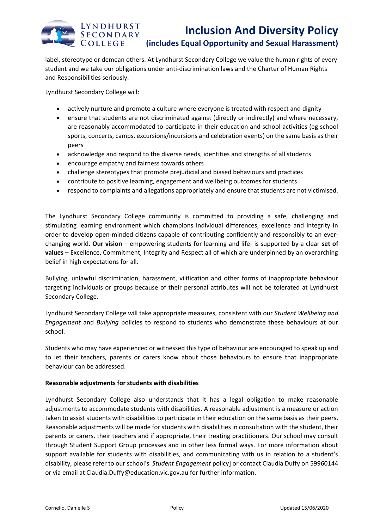# LYNDHURST SECONDARY COLLEGE

label, stereotype or demean others. At Lyndhurst Secondary College we value the human rights of every student and we take our obligations under anti-discrimination laws and the Charter of Human Rights and Responsibilities seriously.

Lyndhurst Secondary College will:

- actively nurture and promote a culture where everyone is treated with respect and dignity
- ensure that students are not discriminated against (directly or indirectly) and where necessary, are reasonably accommodated to participate in their education and school activities (eg school sports, concerts, camps, excursions/incursions and celebration events) on the same basis as their peers
- acknowledge and respond to the diverse needs, identities and strengths of all students
- encourage empathy and fairness towards others
- challenge stereotypes that promote prejudicial and biased behaviours and practices
- contribute to positive learning, engagement and wellbeing outcomes for students
- respond to complaints and allegations appropriately and ensure that students are not victimised.

The Lyndhurst Secondary College community is committed to providing a safe, challenging and stimulating learning environment which champions individual differences, excellence and integrity in order to develop open-minded citizens capable of contributing confidently and responsibly to an everchanging world. **Our vision** – empowering students for learning and life- is supported by a clear **set of values** – Excellence, Commitment, Integrity and Respect all of which are underpinned by an overarching belief in high expectations for all.

Bullying, unlawful discrimination, harassment, vilification and other forms of inappropriate behaviour targeting individuals or groups because of their personal attributes will not be tolerated at Lyndhurst Secondary College.

Lyndhurst Secondary College will take appropriate measures, consistent with our *Student Wellbeing and Engagement* and *Bullying* policies to respond to students who demonstrate these behaviours at our school.

Students who may have experienced or witnessed this type of behaviour are encouraged to speak up and to let their teachers, parents or carers know about those behaviours to ensure that inappropriate behaviour can be addressed.

### **Reasonable adjustments for students with disabilities**

Lyndhurst Secondary College also understands that it has a legal obligation to make reasonable adjustments to accommodate students with disabilities. A reasonable adjustment is a measure or action taken to assist students with disabilities to participate in their education on the same basis as their peers. Reasonable adjustments will be made for students with disabilities in consultation with the student, their parents or carers, their teachers and if appropriate, their treating practitioners. Our school may consult through Student Support Group processes and in other less formal ways. For more information about support available for students with disabilities, and communicating with us in relation to a student's disability, please refer to our school's *Student Engagement* policy] or contact Claudia Duffy on 59960144 or via email at Claudia.Duffy@education.vic.gov.au for further information.